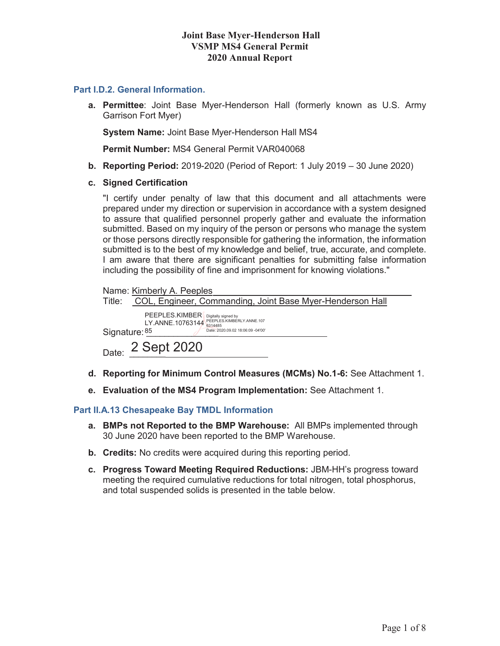### **Joint Base Myer-Henderson Hall VSMP MS4 General Permit 2020 Annual Report**

### **Part I.D.2. General Information.**

**a. Permittee**: Joint Base Myer-Henderson Hall (formerly known as U.S. Army Garrison Fort Myer)

**System Name:** Joint Base Myer-Henderson Hall MS4

**Permit Number:** MS4 General Permit VAR040068

- **b. Reporting Period:** 2019-2020 (Period of Report: 1 July 2019 30 June 2020)
- **c. Signed Certification**

"I certify under penalty of law that this document and all attachments were prepared under my direction or supervision in accordance with a system designed to assure that qualified personnel properly gather and evaluate the information submitted. Based on my inquiry of the person or persons who manage the system or those persons directly responsible for gathering the information, the information submitted is to the best of my knowledge and belief, true, accurate, and complete. I am aware that there are significant penalties for submitting false information including the possibility of fine and imprisonment for knowing violations."

| Name: Kimberly A. Peeples                                                                                                                              |
|--------------------------------------------------------------------------------------------------------------------------------------------------------|
| COL, Engineer, Commanding, Joint Base Myer-Henderson Hall<br>Title:                                                                                    |
| PEEPLES.KIMBER Digitally signed by<br>PEEPLES.KIMBERLY.ANNE.107<br>LY.ANNE.10763144<br>6314485<br>Date: 2020.09.02 18:06:09 -04'00'<br>Signature: $85$ |
| Date: 2 Sept 2020                                                                                                                                      |

- **d. Reporting for Minimum Control Measures (MCMs) No.1-6:** See Attachment 1.
- **e. Evaluation of the MS4 Program Implementation:** See Attachment 1.

#### **Part II.A.13 Chesapeake Bay TMDL Information**

- **a. BMPs not Reported to the BMP Warehouse:** All BMPs implemented through 30 June 2020 have been reported to the BMP Warehouse.
- **b. Credits:** No credits were acquired during this reporting period.
- **c. Progress Toward Meeting Required Reductions:** JBM-HH's progress toward meeting the required cumulative reductions for total nitrogen, total phosphorus, and total suspended solids is presented in the table below.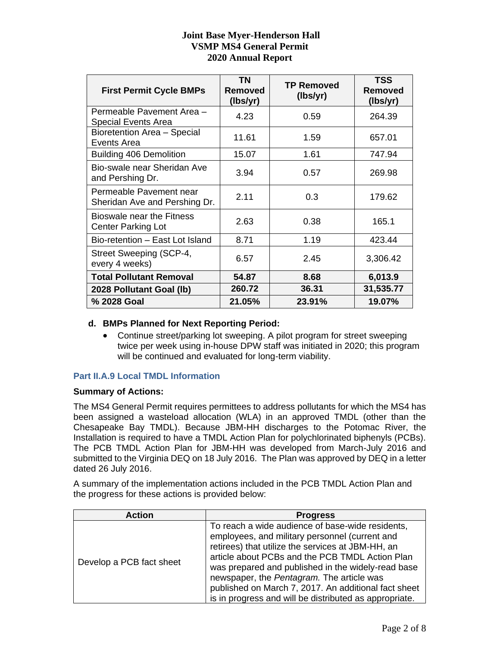## **Joint Base Myer-Henderson Hall VSMP MS4 General Permit 2020 Annual Report**

| <b>First Permit Cycle BMPs</b>                           | ΤN<br>Removed<br>(lbs/yr) | <b>TP Removed</b><br>(lbs/yr) | <b>TSS</b><br><b>Removed</b><br>(lbs/yr) |
|----------------------------------------------------------|---------------------------|-------------------------------|------------------------------------------|
| Permeable Pavement Area -<br><b>Special Events Area</b>  | 4.23                      | 0.59                          | 264.39                                   |
| Bioretention Area - Special<br>Events Area               | 11.61                     | 1.59                          | 657.01                                   |
| <b>Building 406 Demolition</b>                           | 15.07                     | 1.61                          | 747.94                                   |
| Bio-swale near Sheridan Ave<br>and Pershing Dr.          | 3.94                      | 0.57                          | 269.98                                   |
| Permeable Pavement near<br>Sheridan Ave and Pershing Dr. | 2.11                      | 0.3                           | 179.62                                   |
| Bioswale near the Fitness<br><b>Center Parking Lot</b>   | 2.63                      | 0.38                          | 165.1                                    |
| Bio-retention - East Lot Island                          | 8.71                      | 1.19                          | 423.44                                   |
| Street Sweeping (SCP-4,<br>every 4 weeks)                | 6.57                      | 2.45                          | 3,306.42                                 |
| <b>Total Pollutant Removal</b>                           | 54.87                     | 8.68                          | 6,013.9                                  |
| 2028 Pollutant Goal (lb)                                 | 260.72                    | 36.31                         | 31,535.77                                |
| % 2028 Goal                                              | 21.05%                    | 23.91%                        | 19.07%                                   |

### **d. BMPs Planned for Next Reporting Period:**

• Continue street/parking lot sweeping. A pilot program for street sweeping twice per week using in-house DPW staff was initiated in 2020; this program will be continued and evaluated for long-term viability.

## **Part II.A.9 Local TMDL Information**

### **Summary of Actions:**

The MS4 General Permit requires permittees to address pollutants for which the MS4 has been assigned a wasteload allocation (WLA) in an approved TMDL (other than the Chesapeake Bay TMDL). Because JBM-HH discharges to the Potomac River, the Installation is required to have a TMDL Action Plan for polychlorinated biphenyls (PCBs). The PCB TMDL Action Plan for JBM-HH was developed from March-July 2016 and submitted to the Virginia DEQ on 18 July 2016. The Plan was approved by DEQ in a letter dated 26 July 2016.

A summary of the implementation actions included in the PCB TMDL Action Plan and the progress for these actions is provided below:

| <b>Action</b>            | <b>Progress</b>                                                                                                                                                                                                                                                                                                                                                                                                                 |
|--------------------------|---------------------------------------------------------------------------------------------------------------------------------------------------------------------------------------------------------------------------------------------------------------------------------------------------------------------------------------------------------------------------------------------------------------------------------|
| Develop a PCB fact sheet | To reach a wide audience of base-wide residents,<br>employees, and military personnel (current and<br>retirees) that utilize the services at JBM-HH, an<br>article about PCBs and the PCB TMDL Action Plan<br>was prepared and published in the widely-read base<br>newspaper, the Pentagram. The article was<br>published on March 7, 2017. An additional fact sheet<br>is in progress and will be distributed as appropriate. |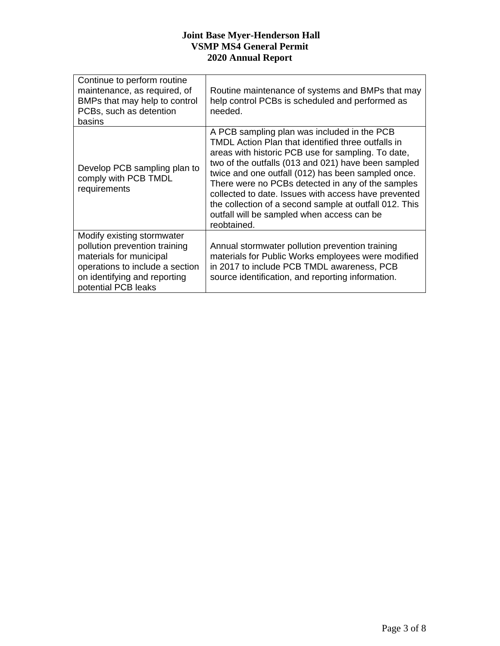## **Joint Base Myer-Henderson Hall VSMP MS4 General Permit 2020 Annual Report**

| Continue to perform routine<br>maintenance, as required, of<br>BMPs that may help to control<br>PCBs, such as detention<br>basins                                                | Routine maintenance of systems and BMPs that may<br>help control PCBs is scheduled and performed as<br>needed.                                                                                                                                                                                                                                                                                                                                                                                           |
|----------------------------------------------------------------------------------------------------------------------------------------------------------------------------------|----------------------------------------------------------------------------------------------------------------------------------------------------------------------------------------------------------------------------------------------------------------------------------------------------------------------------------------------------------------------------------------------------------------------------------------------------------------------------------------------------------|
| Develop PCB sampling plan to<br>comply with PCB TMDL<br>requirements                                                                                                             | A PCB sampling plan was included in the PCB<br>TMDL Action Plan that identified three outfalls in<br>areas with historic PCB use for sampling. To date,<br>two of the outfalls (013 and 021) have been sampled<br>twice and one outfall (012) has been sampled once.<br>There were no PCBs detected in any of the samples<br>collected to date. Issues with access have prevented<br>the collection of a second sample at outfall 012. This<br>outfall will be sampled when access can be<br>reobtained. |
| Modify existing stormwater<br>pollution prevention training<br>materials for municipal<br>operations to include a section<br>on identifying and reporting<br>potential PCB leaks | Annual stormwater pollution prevention training<br>materials for Public Works employees were modified<br>in 2017 to include PCB TMDL awareness, PCB<br>source identification, and reporting information.                                                                                                                                                                                                                                                                                                 |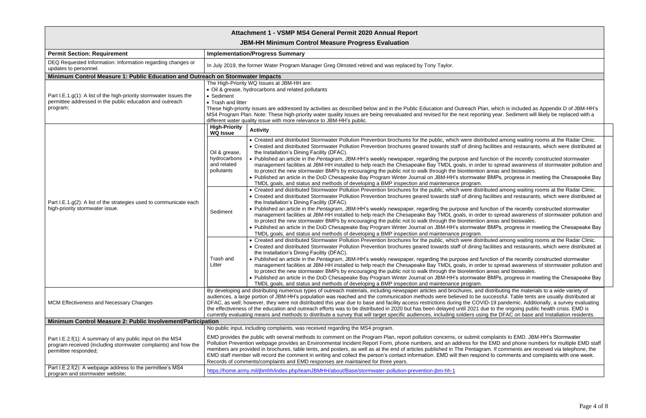| Attachment 1 - VSMP MS4 General Permit 2020 Annual Report                                                                                           |                                                                                                                                                                                                                                                                                                                                                                                                                                                                                                                                                                                                                                                                                                                                                                                                                                                                                                                                                                                                                                                                                                                                                                                                                                                                                                                                                                                                                                                                                                                                                                                                                                                                                                                                                                                                                                                                                                                                                                                                                                                                                                                                                                                                                                                                                                                                                                                                                                                                                                                                                                                                                                                                                                                                                                                                                                                                                                                                                                                                                                                                                                                                                                                                                                                                                                 |  |
|-----------------------------------------------------------------------------------------------------------------------------------------------------|-------------------------------------------------------------------------------------------------------------------------------------------------------------------------------------------------------------------------------------------------------------------------------------------------------------------------------------------------------------------------------------------------------------------------------------------------------------------------------------------------------------------------------------------------------------------------------------------------------------------------------------------------------------------------------------------------------------------------------------------------------------------------------------------------------------------------------------------------------------------------------------------------------------------------------------------------------------------------------------------------------------------------------------------------------------------------------------------------------------------------------------------------------------------------------------------------------------------------------------------------------------------------------------------------------------------------------------------------------------------------------------------------------------------------------------------------------------------------------------------------------------------------------------------------------------------------------------------------------------------------------------------------------------------------------------------------------------------------------------------------------------------------------------------------------------------------------------------------------------------------------------------------------------------------------------------------------------------------------------------------------------------------------------------------------------------------------------------------------------------------------------------------------------------------------------------------------------------------------------------------------------------------------------------------------------------------------------------------------------------------------------------------------------------------------------------------------------------------------------------------------------------------------------------------------------------------------------------------------------------------------------------------------------------------------------------------------------------------------------------------------------------------------------------------------------------------------------------------------------------------------------------------------------------------------------------------------------------------------------------------------------------------------------------------------------------------------------------------------------------------------------------------------------------------------------------------------------------------------------------------------------------------------------------------|--|
| <b>JBM-HH Minimum Control Measure Progress Evaluation</b>                                                                                           |                                                                                                                                                                                                                                                                                                                                                                                                                                                                                                                                                                                                                                                                                                                                                                                                                                                                                                                                                                                                                                                                                                                                                                                                                                                                                                                                                                                                                                                                                                                                                                                                                                                                                                                                                                                                                                                                                                                                                                                                                                                                                                                                                                                                                                                                                                                                                                                                                                                                                                                                                                                                                                                                                                                                                                                                                                                                                                                                                                                                                                                                                                                                                                                                                                                                                                 |  |
| <b>Permit Section: Requirement</b>                                                                                                                  | <b>Implementation/Progress Summary</b>                                                                                                                                                                                                                                                                                                                                                                                                                                                                                                                                                                                                                                                                                                                                                                                                                                                                                                                                                                                                                                                                                                                                                                                                                                                                                                                                                                                                                                                                                                                                                                                                                                                                                                                                                                                                                                                                                                                                                                                                                                                                                                                                                                                                                                                                                                                                                                                                                                                                                                                                                                                                                                                                                                                                                                                                                                                                                                                                                                                                                                                                                                                                                                                                                                                          |  |
| DEQ Requested Information: Information regarding changes or<br>updates to personnel.                                                                | In July 2019, the former Water Program Manager Greg Olmsted retired and was replaced by Tony Taylor.                                                                                                                                                                                                                                                                                                                                                                                                                                                                                                                                                                                                                                                                                                                                                                                                                                                                                                                                                                                                                                                                                                                                                                                                                                                                                                                                                                                                                                                                                                                                                                                                                                                                                                                                                                                                                                                                                                                                                                                                                                                                                                                                                                                                                                                                                                                                                                                                                                                                                                                                                                                                                                                                                                                                                                                                                                                                                                                                                                                                                                                                                                                                                                                            |  |
| Minimum Control Measure 1: Public Education and Outreach on Stormwater Impacts                                                                      |                                                                                                                                                                                                                                                                                                                                                                                                                                                                                                                                                                                                                                                                                                                                                                                                                                                                                                                                                                                                                                                                                                                                                                                                                                                                                                                                                                                                                                                                                                                                                                                                                                                                                                                                                                                                                                                                                                                                                                                                                                                                                                                                                                                                                                                                                                                                                                                                                                                                                                                                                                                                                                                                                                                                                                                                                                                                                                                                                                                                                                                                                                                                                                                                                                                                                                 |  |
| Part I.E.1.g(1): A list of the high-priority stormwater issues the<br>permittee addressed in the public education and outreach<br>program;          | The High-Priority WQ Issues at JBM-HH are:<br>• Oil & grease, hydrocarbons and related pollutants<br>• Sediment<br>• Trash and litter<br>These high-priority issues are addressed by activities as described below and in the Public Education and Outreach Plan, which is included as Appendix D of JBM-HH's<br>MS4 Program Plan. Note: These high-priority water quality issues are being reevaluated and revised for the next reporting year. Sediment will likely be replaced with a<br>different water quality issue with more relevance to JBM-HH's public.                                                                                                                                                                                                                                                                                                                                                                                                                                                                                                                                                                                                                                                                                                                                                                                                                                                                                                                                                                                                                                                                                                                                                                                                                                                                                                                                                                                                                                                                                                                                                                                                                                                                                                                                                                                                                                                                                                                                                                                                                                                                                                                                                                                                                                                                                                                                                                                                                                                                                                                                                                                                                                                                                                                               |  |
| Part I.E.1.g(2): A list of the strategies used to communicate each<br>high-priority stormwater issue.                                               | <b>High-Priority</b><br><b>Activity</b><br><b>WQ Issue</b><br>• Created and distributed Stormwater Pollution Prevention brochures for the public, which were distributed among waiting rooms at the Radar Clinic.<br>• Created and distributed Stormwater Pollution Prevention brochures geared towards staff of dining facilities and restaurants, which were distributed at<br>the Installation's Dining Facility (DFAC).<br>Oil & grease,<br>hydrocarbons<br>• Published an article in the Pentagram, JBM-HH's weekly newspaper, regarding the purpose and function of the recently constructed stormwater<br>and related<br>management facilities at JBM-HH installed to help reach the Chesapeake Bay TMDL goals, in order to spread awareness of stormwater pollution and<br>pollutants<br>to protect the new stormwater BMPs by encouraging the public not to walk through the bioretention areas and bioswales.<br>• Published an article in the DoD Chesapeake Bay Program Winter Journal on JBM-HH's stormwater BMPs, progress in meeting the Chesapeake Bay<br>TMDL goals, and status and methods of developing a BMP inspection and maintenance program.<br>• Created and distributed Stormwater Pollution Prevention brochures for the public, which were distributed among waiting rooms at the Radar Clinic.<br>• Created and distributed Stormwater Pollution Prevention brochures geared towards staff of dining facilities and restaurants, which were distributed at<br>the Installation's Dining Facility (DFAC).<br>• Published an article in the Pentagram, JBM-HH's weekly newspaper, regarding the purpose and function of the recently constructed stormwater<br>Sediment<br>management facilities at JBM-HH installed to help reach the Chesapeake Bay TMDL goals, in order to spread awareness of stormwater pollution and<br>to protect the new stormwater BMPs by encouraging the public not to walk through the bioretention areas and bioswales.<br>• Published an article in the DoD Chesapeake Bay Program Winter Journal on JBM-HH's stormwater BMPs, progress in meeting the Chesapeake Bay<br>TMDL goals, and status and methods of developing a BMP inspection and maintenance program.<br>• Created and distributed Stormwater Pollution Prevention brochures for the public, which were distributed among waiting rooms at the Radar Clinic.<br>• Created and distributed Stormwater Pollution Prevention brochures geared towards staff of dining facilities and restaurants, which were distributed at<br>the Installation's Dining Facility (DFAC).<br>. Published an article in the Pentagram, JBM-HH's weekly newspaper, regarding the purpose and function of the recently constructed stormwater<br>Trash and<br>management facilities at JBM-HH installed to help reach the Chesapeake Bay TMDL goals, in order to spread awareness of stormwater pollution and<br>Litter<br>to protect the new stormwater BMPs by encouraging the public not to walk through the bioretention areas and bioswales.<br>• Published an article in the DoD Chesapeake Bay Program Winter Journal on JBM-HH's stormwater BMPs, progress in meeting the Chesapeake Bay<br>TMDL goals, and status and methods of developing a BMP inspection and maintenance program. |  |
| <b>MCM Effectiveness and Necessary Changes</b>                                                                                                      | By developing and distributing numerous types of outreach materials, including newspaper articles and brochures, and distributing the materials to a wide variety of<br>audiences, a large portion of JBM-HH's population was reached and the communication methods were believed to be successful. Table tents are usually distributed at<br>DFAC, as well; however, they were not distributed this year due to base and facility access restrictions during the COVID-19 pandemic. Additionally, a survey evaluating<br>the effectiveness of the education and outreach efforts was to be distributed in 2020 but has been delayed until 2021 due to the ongoing public health crisis. EMD is<br>currently evaluating means and methods to distribute a survey that will target specific audiences, including soldiers using the DFAC on base and Installation residents.                                                                                                                                                                                                                                                                                                                                                                                                                                                                                                                                                                                                                                                                                                                                                                                                                                                                                                                                                                                                                                                                                                                                                                                                                                                                                                                                                                                                                                                                                                                                                                                                                                                                                                                                                                                                                                                                                                                                                                                                                                                                                                                                                                                                                                                                                                                                                                                                                     |  |
| Minimum Control Measure 2: Public Involvement/Participation                                                                                         |                                                                                                                                                                                                                                                                                                                                                                                                                                                                                                                                                                                                                                                                                                                                                                                                                                                                                                                                                                                                                                                                                                                                                                                                                                                                                                                                                                                                                                                                                                                                                                                                                                                                                                                                                                                                                                                                                                                                                                                                                                                                                                                                                                                                                                                                                                                                                                                                                                                                                                                                                                                                                                                                                                                                                                                                                                                                                                                                                                                                                                                                                                                                                                                                                                                                                                 |  |
| Part I.E.2.f(1): A summary of any public input on the MS4<br>program received (including stormwater complaints) and how the<br>permittee responded; | No public input, including complaints, was received regarding the MS4 program.<br>EMD provides the public with several methods to comment on the Program Plan, report pollution concerns, or submit complaints to EMD. JBM-HH's Stormwater<br>Pollution Prevention webpage provides an Environmental Incident Report Form, phone numbers, and an address for the EMD and phone numbers for multiple EMD staff<br>members are provided in brochures, table tents, and posters, as well as at the end of articles published in The Pentagram. If comments are received via telephone, the<br>EMD staff member will record the comment in writing and collect the person's contact information. EMD will then respond to comments and complaints with one week.<br>Records of comments/complaints and EMD responses are maintained for three years.                                                                                                                                                                                                                                                                                                                                                                                                                                                                                                                                                                                                                                                                                                                                                                                                                                                                                                                                                                                                                                                                                                                                                                                                                                                                                                                                                                                                                                                                                                                                                                                                                                                                                                                                                                                                                                                                                                                                                                                                                                                                                                                                                                                                                                                                                                                                                                                                                                                |  |
| Part I.E.2.f(2): A webpage address to the permittee's MS4<br>program and stormwater website;                                                        | https://home.army.mil/jbmhh/index.php/teamJBMHH/about/Base/stormwater-pollution-prevention-jbm-hh-1                                                                                                                                                                                                                                                                                                                                                                                                                                                                                                                                                                                                                                                                                                                                                                                                                                                                                                                                                                                                                                                                                                                                                                                                                                                                                                                                                                                                                                                                                                                                                                                                                                                                                                                                                                                                                                                                                                                                                                                                                                                                                                                                                                                                                                                                                                                                                                                                                                                                                                                                                                                                                                                                                                                                                                                                                                                                                                                                                                                                                                                                                                                                                                                             |  |

| Plan, which is included as Appendix D of JBM-HH's<br>porting year. Sediment will likely be replaced with a                                                                                                                                                                       |  |
|----------------------------------------------------------------------------------------------------------------------------------------------------------------------------------------------------------------------------------------------------------------------------------|--|
|                                                                                                                                                                                                                                                                                  |  |
| distributed among waiting rooms at the Radar Clinic.<br>ing facilities and restaurants, which were distributed at                                                                                                                                                                |  |
| d function of the recently constructed stormwater<br>order to spread awareness of stormwater pollution and<br>ntion areas and bioswales.                                                                                                                                         |  |
| vater BMPs, progress in meeting the Chesapeake Bay<br>am.                                                                                                                                                                                                                        |  |
| distributed among waiting rooms at the Radar Clinic.<br>ing facilities and restaurants, which were distributed at                                                                                                                                                                |  |
| d function of the recently constructed stormwater<br>order to spread awareness of stormwater pollution and<br>ntion areas and bioswales.<br>vater BMPs, progress in meeting the Chesapeake Bay<br>am.                                                                            |  |
| distributed among waiting rooms at the Radar Clinic.<br>ing facilities and restaurants, which were distributed at                                                                                                                                                                |  |
| d function of the recently constructed stormwater<br>order to spread awareness of stormwater pollution and<br>ntion areas and bioswales.<br>vater BMPs, progress in meeting the Chesapeake Bay<br>am.                                                                            |  |
| and distributing the materials to a wide variety of<br>be successful. Table tents are usually distributed at<br>COVID-19 pandemic. Additionally, a survey evaluating<br>21 due to the ongoing public health crisis. EMD is<br>using the DFAC on base and Installation residents. |  |
| nit complaints to EMD. JBM-HH's Stormwater<br>or the EMD and phone numbers for multiple EMD staff<br>tagram. If comments are received via telephone, the<br>spond to comments and complaints with one week.                                                                      |  |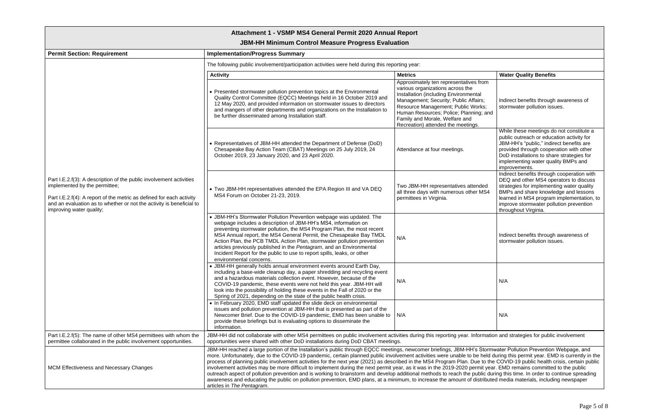# **JBM-HH Minimum Control Measure Progress Evaluation**

| rting year:                                                                                                                                                                                                                                                                                                                 |                                                                                                                                                                                                                                                                                           |
|-----------------------------------------------------------------------------------------------------------------------------------------------------------------------------------------------------------------------------------------------------------------------------------------------------------------------------|-------------------------------------------------------------------------------------------------------------------------------------------------------------------------------------------------------------------------------------------------------------------------------------------|
| <b>Metrics</b>                                                                                                                                                                                                                                                                                                              | <b>Water Quality Benefits</b>                                                                                                                                                                                                                                                             |
| Approximately ten representatives from<br>various organizations across the<br><b>Installation (including Environmental</b><br>Management; Security; Public Affairs;<br>Resource Management; Public Works;<br>Human Resources; Police; Planning; and<br>Family and Morale, Welfare and<br>Recreation) attended the meetings. | Indirect benefits through awareness of<br>stormwater pollution issues.                                                                                                                                                                                                                    |
| Attendance at four meetings.                                                                                                                                                                                                                                                                                                | While these meetings do not constitute a<br>public outreach or education activity for<br>JBM-HH's "public," indirect benefits are<br>provided through cooperation with other<br>DoD installations to share strategies for<br>implementing water quality BMPs and<br>improvements.         |
| Two JBM-HH representatives attended<br>all three days with numerous other MS4<br>permittees in Virginia.                                                                                                                                                                                                                    | Indirect benefits through cooperation with<br>DEQ and other MS4 operators to discuss<br>strategies for implementing water quality<br>BMPs and share knowledge and lessons<br>learned in MS4 program implementation, to<br>improve stormwater pollution prevention<br>throughout Virginia. |
| N/A                                                                                                                                                                                                                                                                                                                         | Indirect benefits through awareness of<br>stormwater pollution issues.                                                                                                                                                                                                                    |
| N/A                                                                                                                                                                                                                                                                                                                         | N/A                                                                                                                                                                                                                                                                                       |
| N/A                                                                                                                                                                                                                                                                                                                         | N/A                                                                                                                                                                                                                                                                                       |
| vities during this reporting year. Information and strategies for public involvement<br>s.                                                                                                                                                                                                                                  |                                                                                                                                                                                                                                                                                           |
| gs, newcomer briefings, JBM-HH's Stormwater Pollution Prevention Webpage, and<br>ear, as it was in the 2019-2020 permit year. EMD remains committed to the public<br>imum, to increase the amount of distributed media materials, including newspaper                                                                       | vement activities were unable to be held during this permit year. EMD is currently in the<br>ibed in the MS4 Program Plan. Due to the COVID-19 public health crisis, certain public<br>additional methods to reach the public during this time. In order to continue spreading            |

| <b>Permit Section: Requirement</b>                                                                                                                                                                                                                                               | <b>Implementation/Progress Summary</b>                                                                                                                                                                                                                                                                                                                                                                                                                                                                                                                                                                                                                                                                                                                                                                                                                                                                                                                                                                                                                                   |                                                                                                                                                                                                                                                                                                                      |                                                                                                                                                                                                                                                                                           |
|----------------------------------------------------------------------------------------------------------------------------------------------------------------------------------------------------------------------------------------------------------------------------------|--------------------------------------------------------------------------------------------------------------------------------------------------------------------------------------------------------------------------------------------------------------------------------------------------------------------------------------------------------------------------------------------------------------------------------------------------------------------------------------------------------------------------------------------------------------------------------------------------------------------------------------------------------------------------------------------------------------------------------------------------------------------------------------------------------------------------------------------------------------------------------------------------------------------------------------------------------------------------------------------------------------------------------------------------------------------------|----------------------------------------------------------------------------------------------------------------------------------------------------------------------------------------------------------------------------------------------------------------------------------------------------------------------|-------------------------------------------------------------------------------------------------------------------------------------------------------------------------------------------------------------------------------------------------------------------------------------------|
|                                                                                                                                                                                                                                                                                  | The following public involvement/participation activities were held during this reporting year:                                                                                                                                                                                                                                                                                                                                                                                                                                                                                                                                                                                                                                                                                                                                                                                                                                                                                                                                                                          |                                                                                                                                                                                                                                                                                                                      |                                                                                                                                                                                                                                                                                           |
|                                                                                                                                                                                                                                                                                  | <b>Activity</b>                                                                                                                                                                                                                                                                                                                                                                                                                                                                                                                                                                                                                                                                                                                                                                                                                                                                                                                                                                                                                                                          | <b>Metrics</b>                                                                                                                                                                                                                                                                                                       | <b>Water Quality Benefits</b>                                                                                                                                                                                                                                                             |
| Part I.E.2.f(3): A description of the public involvement activities<br>implemented by the permittee;<br>Part I.E.2.f(4): A report of the metric as defined for each activity<br>and an evaluation as to whether or not the activity is beneficial to<br>improving water quality; | • Presented stormwater pollution prevention topics at the Environmental<br>Quality Control Committee (EQCC) Meetings held in 16 October 2019 and<br>12 May 2020, and provided information on stormwater issues to directors<br>and mangers of other departments and organizations on the Installation to<br>be further disseminated among Installation staff.                                                                                                                                                                                                                                                                                                                                                                                                                                                                                                                                                                                                                                                                                                            | Approximately ten representatives from<br>various organizations across the<br>Installation (including Environmental<br>Management; Security; Public Affairs;<br>Resource Management; Public Works;<br>Human Resources; Police; Planning; and<br>Family and Morale, Welfare and<br>Recreation) attended the meetings. | Indirect benefits through awareness of<br>stormwater pollution issues.                                                                                                                                                                                                                    |
|                                                                                                                                                                                                                                                                                  | • Representatives of JBM-HH attended the Department of Defense (DoD)<br>Chesapeake Bay Action Team (CBAT) Meetings on 25 July 2019, 24<br>October 2019, 23 January 2020, and 23 April 2020.                                                                                                                                                                                                                                                                                                                                                                                                                                                                                                                                                                                                                                                                                                                                                                                                                                                                              | Attendance at four meetings.                                                                                                                                                                                                                                                                                         | While these meetings do not constitute a<br>public outreach or education activity for<br>JBM-HH's "public," indirect benefits are<br>provided through cooperation with other<br>DoD installations to share strategies for<br>implementing water quality BMPs and<br>improvements.         |
|                                                                                                                                                                                                                                                                                  | • Two JBM-HH representatives attended the EPA Region III and VA DEQ<br>MS4 Forum on October 21-23, 2019.                                                                                                                                                                                                                                                                                                                                                                                                                                                                                                                                                                                                                                                                                                                                                                                                                                                                                                                                                                 | Two JBM-HH representatives attended<br>all three days with numerous other MS4<br>permittees in Virginia.                                                                                                                                                                                                             | Indirect benefits through cooperation with<br>DEQ and other MS4 operators to discuss<br>strategies for implementing water quality<br>BMPs and share knowledge and lessons<br>learned in MS4 program implementation, to<br>improve stormwater pollution prevention<br>throughout Virginia. |
|                                                                                                                                                                                                                                                                                  | • JBM-HH's Stormwater Pollution Prevention webpage was updated. The<br>webpage includes a description of JBM-HH's MS4, information on<br>preventing stormwater pollution, the MS4 Program Plan, the most recent<br>MS4 Annual report, the MS4 General Permit, the Chesapeake Bay TMDL<br>Action Plan, the PCB TMDL Action Plan, stormwater pollution prevention<br>articles previously published in the Pentagram, and an Environmental<br>Incident Report for the public to use to report spills, leaks, or other<br>environmental concerns.                                                                                                                                                                                                                                                                                                                                                                                                                                                                                                                            | N/A                                                                                                                                                                                                                                                                                                                  | Indirect benefits through awareness of<br>stormwater pollution issues.                                                                                                                                                                                                                    |
|                                                                                                                                                                                                                                                                                  | • JBM-HH generally holds annual environment events around Earth Day,<br>including a base-wide cleanup day, a paper shredding and recycling event<br>and a hazardous materials collection event. However, because of the<br>COVID-19 pandemic, these events were not held this year. JBM-HH will<br>look into the possibility of holding these events in the Fall of 2020 or the<br>Spring of 2021, depending on the state of the public health crisis.                                                                                                                                                                                                                                                                                                                                                                                                                                                                                                                                                                                                                   | N/A                                                                                                                                                                                                                                                                                                                  | N/A                                                                                                                                                                                                                                                                                       |
|                                                                                                                                                                                                                                                                                  | • In February 2020, EMD staff updated the slide deck on environmental<br>issues and pollution prevention at JBM-HH that is presented as part of the<br>Newcomer Brief. Due to the COVID-19 pandemic, EMD has been unable to $\mid$ N/A<br>provide these briefings but is evaluating options to disseminate the<br>information.                                                                                                                                                                                                                                                                                                                                                                                                                                                                                                                                                                                                                                                                                                                                           |                                                                                                                                                                                                                                                                                                                      | N/A                                                                                                                                                                                                                                                                                       |
| Part I.E.2.f(5): The name of other MS4 permittees with whom the<br>permittee collaborated in the public involvement opportunities.                                                                                                                                               | JBM-HH did not collaborate with other MS4 permittees on public involvement activities during this reporting year. Information and strategies for public involvement<br>opportunities were shared with other DoD installations during DoD CBAT meetings.                                                                                                                                                                                                                                                                                                                                                                                                                                                                                                                                                                                                                                                                                                                                                                                                                  |                                                                                                                                                                                                                                                                                                                      |                                                                                                                                                                                                                                                                                           |
| MCM Effectiveness and Necessary Changes                                                                                                                                                                                                                                          | JBM-HH reached a large portion of the Installation's public through EQCC meetings, newcomer briefings, JBM-HH's Stormwater Pollution Prevention Webpage, and<br>more. Unfortunately, due to the COVID-19 pandemic, certain planned public involvement activities were unable to be held during this permit year. EMD is currently in the<br>process of planning public involvement activities for the next year (2021) as described in the MS4 Program Plan. Due to the COVID-19 public health crisis, certain public<br>involvement activities may be more difficult to implement during the next permit year, as it was in the 2019-2020 permit year. EMD remains committed to the public<br>outreach aspect of pollution prevention and is working to brainstorm and develop additional methods to reach the public during this time. In order to continue spreading<br>awareness and educating the public on pollution prevention, EMD plans, at a minimum, to increase the amount of distributed media materials, including newspaper<br>articles in The Pentagram. |                                                                                                                                                                                                                                                                                                                      |                                                                                                                                                                                                                                                                                           |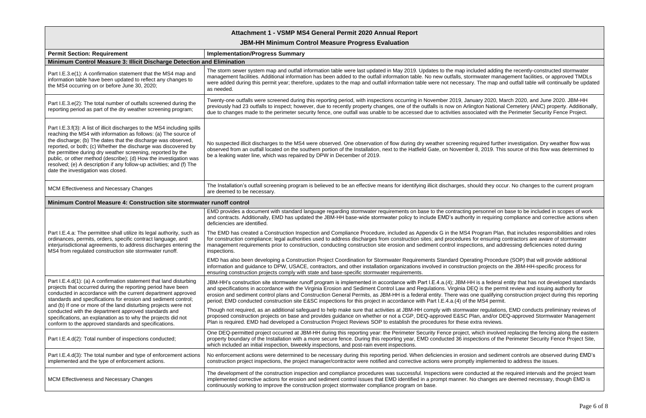#### **JBM-HH Minimum Control Measure Progress Evaluation**

| <b>Permit Section: Requirement</b>                                                                                                                                                                                                                                                                                                                                                                                                                                                                                                | <b>Implementation/Progress Summary</b>                                                                                                                                                                                                                                                                                                                                                                                                                                                                                                |
|-----------------------------------------------------------------------------------------------------------------------------------------------------------------------------------------------------------------------------------------------------------------------------------------------------------------------------------------------------------------------------------------------------------------------------------------------------------------------------------------------------------------------------------|---------------------------------------------------------------------------------------------------------------------------------------------------------------------------------------------------------------------------------------------------------------------------------------------------------------------------------------------------------------------------------------------------------------------------------------------------------------------------------------------------------------------------------------|
| Minimum Control Measure 3: Illicit Discharge Detection and Elimination                                                                                                                                                                                                                                                                                                                                                                                                                                                            |                                                                                                                                                                                                                                                                                                                                                                                                                                                                                                                                       |
| Part I.E.3.e(1): A confirmation statement that the MS4 map and<br>information table have been updated to reflect any changes to<br>the MS4 occurring on or before June 30, 2020;                                                                                                                                                                                                                                                                                                                                                  | The storm sewer system map and outfall information table were last updated in May 2019. Updates to the map included adding t<br>management facilities. Additional information has been added to the outfall information table. No new outfalls, stormwater manag<br>were added during this permit year; therefore, updates to the map and outfall information table were not necessary. The map an<br>as needed.                                                                                                                      |
| Part I.E.3.e(2): The total number of outfalls screened during the<br>reporting period as part of the dry weather screening program;                                                                                                                                                                                                                                                                                                                                                                                               | Twenty-one outfalls were screened during this reporting period, with inspections occurring in November 2019, January 2020, Ma<br>previously had 23 outfalls to inspect; however, due to recently property changes, one of the outfalls is now on Arlington National<br>due to changes made to the perimeter security fence, one outfall was unable to be accessed due to activities associated with the                                                                                                                               |
| Part I.E.3.f(3): A list of illicit discharges to the MS4 including spills<br>reaching the MS4 with information as follows: (a) The source of<br>the discharge; (b) The dates that the discharge was observed,<br>reported, or both; (c) Whether the discharge was discovered by<br>the permittee during dry weather screening, reported by the<br>public, or other method (describe); (d) How the investigation was<br>resolved; (e) A description if any follow-up activities; and (f) The<br>date the investigation was closed. | No suspected illicit discharges to the MS4 were observed. One observation of flow during dry weather screening required further<br>observed from an outfall located on the southern portion of the Installation, next to the Hatfield Gate, on November 8, 2019. This<br>be a leaking water line, which was repaired by DPW in December of 2019.                                                                                                                                                                                      |
| MCM Effectiveness and Necessary Changes                                                                                                                                                                                                                                                                                                                                                                                                                                                                                           | The Installation's outfall screening program is believed to be an effective means for identifying illicit discharges, should they occu<br>are deemed to be necessary.                                                                                                                                                                                                                                                                                                                                                                 |
| Minimum Control Measure 4: Construction site stormwater runoff control                                                                                                                                                                                                                                                                                                                                                                                                                                                            |                                                                                                                                                                                                                                                                                                                                                                                                                                                                                                                                       |
|                                                                                                                                                                                                                                                                                                                                                                                                                                                                                                                                   | EMD provides a document with standard language regarding stormwater requirements on base to the contracting personnel on I<br>and contracts. Additionally, EMD has updated the JBM-HH base-wide stormwater policy to include EMD's authority in requiring o<br>deficiencies are identified.                                                                                                                                                                                                                                           |
| Part I.E.4.a: The permittee shall utilize its legal authority, such as<br>ordinances, permits, orders, specific contract language, and<br>interjurisdictional agreements, to address discharges entering the<br>MS4 from regulated construction site stormwater runoff.                                                                                                                                                                                                                                                           | The EMD has created a Construction Inspection and Compliance Procedure, included as Appendix G in the MS4 Program Plan,<br>for construction compliance; legal authorities used to address discharges from construction sites; and procedures for ensuring co<br>management requirements prior to construction, conducting construction site erosion and sediment control inspections, and add<br>inspections.                                                                                                                         |
|                                                                                                                                                                                                                                                                                                                                                                                                                                                                                                                                   | EMD has also been developing a Construction Project Coordination for Stormwater Requirements Standard Operating Procedur<br>information and guidance to DPW, USACE, contractors, and other installation organizations involved in construction projects on<br>ensuring construction projects comply with state and base-specific stormwater requirements.                                                                                                                                                                             |
| Part I.E.4.d(1): (a) A confirmation statement that land disturbing<br>projects that occurred during the reporting period have been<br>conducted in accordance with the current department approved<br>standards and specifications for erosion and sediment control;<br>and (b) If one or more of the land disturbing projects were not                                                                                                                                                                                           | JBM-HH's construction site stormwater runoff program is implemented in accordance with Part I.E.4.a.(4); JBM-HH is a federal e<br>and specifications in accordance with the Virginia Erosion and Sediment Control Law and Regulations. Virginia DEQ is the perm<br>erosion and sediment control plans and Construction General Permits, as JBM-HH is a federal entity. There was one qualifying o<br>period; EMD conducted construction site E&SC inspections for this project in accordance with Part I.E.4.a.(4) of the MS4 permit. |
| conducted with the department approved standards and<br>specifications, an explanation as to why the projects did not<br>conform to the approved standards and specifications.                                                                                                                                                                                                                                                                                                                                                    | Though not required, as an additional safeguard to help make sure that activities at JBM-HH comply with stormwater regulations<br>proposed construction projects on base and provides guidance on whether or not a CGP, DEQ-approved E&SC Plan, and/or DE<br>Plan is required. EMD had developed a Construction Project Reviews SOP to establish the procedures for these extra reviews.                                                                                                                                              |
| Part I.E.4.d(2): Total number of inspections conducted;                                                                                                                                                                                                                                                                                                                                                                                                                                                                           | One DEQ-permitted project occurred at JBM-HH during this reporting year: the Perimeter Security Fence project, which involved<br>property boundary of the Installation with a more secure fence. During this reporting year, EMD conducted 36 inspections of the<br>which included an initial inspection, biweekly inspections, and post-rain event inspections.                                                                                                                                                                      |
| Part I.E.4.d(3): The total number and type of enforcement actions<br>implemented and the type of enforcement actions.                                                                                                                                                                                                                                                                                                                                                                                                             | No enforcement actions were determined to be necessary during this reporting period. When deficiencies in erosion and sedime<br>construction project inspections, the project manager/contractor were notified and corrective actions were promptly implemented                                                                                                                                                                                                                                                                       |
| MCM Effectiveness and Necessary Changes                                                                                                                                                                                                                                                                                                                                                                                                                                                                                           | The development of the construction inspection and compliance procedures was successful. Inspections were conducted at the<br>implemented corrective actions for erosion and sediment control issues that EMD identified in a prompt manner. No changes are<br>continuously working to improve the construction project stormwater compliance program on base.                                                                                                                                                                        |

uded adding the recently-constructed stormwater nwater management facilities, or approved TMDLs The map and outfall table will continually be updated

ary 2020, March 2020, and June 2020. JBM-HH gton National Cemetery (ANC) property. Additionally, ciated with the Perimeter Security Fence Project.

quired further investigation. Dry weather flow was  $3$ , 2019. This source of this flow was determined to

buld they occur. No changes to the current program

ersonnel on base to be included in scopes of work in requiring compliance and corrective actions when

rogram Plan, that includes responsibilities and roles or ensuring contractors are aware of stormwater ons, and addressing deficiencies noted during

ting Procedure (SOP) that will provide additional in projects on the JBM-HH-specific process for

is a federal entity that has not developed standards Q is the permit review and issuing authority for e qualifying construction project during this reporting

er regulations, EMD conducts preliminary reviews of an, and/or DEQ-approved Stormwater Management

hich involved replacing the fencing along the eastern ections of the Perimeter Security Fence Project Site,

n and sediment controls are observed during EMD's implemented to address the issues.

fucted at the required intervals and the project team implemented corrective and sediment changes are deemed necessary, though EMD is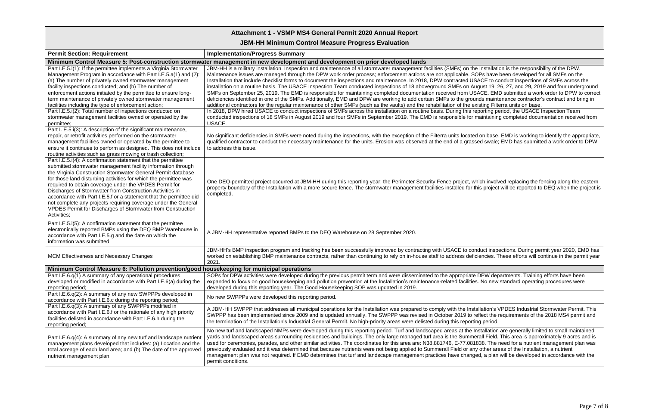## **JBM-HH Minimum Control Measure Progress Evaluation**

| <b>Permit Section: Requirement</b>                                                                                                                                                                                                                                                                                                                                                                                                                                                                                                                                                                           | <b>Implementation/Progress Summary</b>                                                                                                                                                                                                                                                                                                                                                                                                                                                                                                                                                                                                                                                                                                                                                                                                                                                                                                                                                                                                                                                                                                                                                                                                                                                                                                                                                                                                                                                                     |
|--------------------------------------------------------------------------------------------------------------------------------------------------------------------------------------------------------------------------------------------------------------------------------------------------------------------------------------------------------------------------------------------------------------------------------------------------------------------------------------------------------------------------------------------------------------------------------------------------------------|------------------------------------------------------------------------------------------------------------------------------------------------------------------------------------------------------------------------------------------------------------------------------------------------------------------------------------------------------------------------------------------------------------------------------------------------------------------------------------------------------------------------------------------------------------------------------------------------------------------------------------------------------------------------------------------------------------------------------------------------------------------------------------------------------------------------------------------------------------------------------------------------------------------------------------------------------------------------------------------------------------------------------------------------------------------------------------------------------------------------------------------------------------------------------------------------------------------------------------------------------------------------------------------------------------------------------------------------------------------------------------------------------------------------------------------------------------------------------------------------------------|
|                                                                                                                                                                                                                                                                                                                                                                                                                                                                                                                                                                                                              | Minimum Control Measure 5: Post-construction stormwater management in new development and development on prior developed lands                                                                                                                                                                                                                                                                                                                                                                                                                                                                                                                                                                                                                                                                                                                                                                                                                                                                                                                                                                                                                                                                                                                                                                                                                                                                                                                                                                             |
| Part I.E.5.i(1): If the permittee implements a Virginia Stormwater<br>Management Program in accordance with Part I.E.5.a(1) and (2):<br>(a) The number of privately owned stormwater management<br>facility inspections conducted; and (b) The number of<br>enforcement actions initiated by the permittee to ensure long-<br>term maintenance of privately owned stormwater management<br>facilities including the type of enforcement action;<br>Part I.E.5.i(2): Total number of inspections conducted on<br>stormwater management facilities owned or operated by the<br>permittee;                      | JBM-HH is a military installation. Inspection and maintenance of all stormwater management facilities (SMFs) on the Installation is the responsibility of the DPW.<br>Maintenance issues are managed through the DPW work order process; enforcement actions are not applicable. SOPs have been developed for all SMFs on the<br>Installation that include checklist forms to document the inspections and maintenance. In 2018, DPW contracted USACE to conduct inspections of SMFs across the<br>installation on a routine basis. The USACE Inspection Team conducted inspections of 18 aboveground SMFs on August 19, 26, 27, and 29, 2019 and four underground<br>SMFs on September 25, 2019. The EMD is responsible for maintaining completed documentation received from USACE. EMD submitted a work order to DPW to correc<br>deficiencies identified in one of the SMFs. Additionally, EMD and DPW are working to add certain SMFs to the grounds maintenance contractor's contract and bring in<br>additional contractors for the regular maintenance of other SMFs (such as the vaults) and the rehabilitation of the existing Filterra units on base.<br>In 2018, DPW hired USACE to conduct inspections of SMFs across the installation on a routine basis. During this reporting period, the USACE Inspection Team<br>conducted inspections of 18 SMFs in August 2019 and four SMFs in September 2019. The EMD is responsible for maintaining completed documentation received from<br>USACE. |
| Part I. E.5.i(3): A description of the significant maintenance,<br>repair, or retrofit activities performed on the stormwater<br>management facilities owned or operated by the permittee to<br>ensure it continues to perform as designed. This does not include<br>routine activities such as grass mowing or trash collection;                                                                                                                                                                                                                                                                            | No significant deficiencies in SMFs were noted during the inspections, with the exception of the Filterra units located on base. EMD is working to identify the appropriate<br>qualified contractor to conduct the necessary maintenance for the units. Erosion was observed at the end of a grassed swale; EMD has submitted a work order to DPW<br>to address this issue.                                                                                                                                                                                                                                                                                                                                                                                                                                                                                                                                                                                                                                                                                                                                                                                                                                                                                                                                                                                                                                                                                                                                |
| Part I.E.5.i(4): A confirmation statement that the permittee<br>submitted stormwater management facility information through<br>the Virginia Construction Stormwater General Permit database<br>for those land disturbing activities for which the permittee was<br>required to obtain coverage under the VPDES Permit for<br>Discharges of Stormwater from Construction Activities in<br>accordance with Part I.E.5.f or a statement that the permittee did<br>not complete any projects requiring coverage under the General<br>VPDES Permit for Discharges of Stormwater from Construction<br>Activities; | One DEQ-permitted project occurred at JBM-HH during this reporting year: the Perimeter Security Fence project, which involved replacing the fencing along the eastern<br>property boundary of the Installation with a more secure fence. The stormwater management facilities installed for this project will be reported to DEQ when the project is<br>completed.                                                                                                                                                                                                                                                                                                                                                                                                                                                                                                                                                                                                                                                                                                                                                                                                                                                                                                                                                                                                                                                                                                                                         |
| Part I.E.5.i(5): A confirmation statement that the permittee<br>electronically reported BMPs using the DEQ BMP Warehouse in<br>accordance with Part I.E.5.g and the date on which the<br>information was submitted.                                                                                                                                                                                                                                                                                                                                                                                          | A JBM-HH representative reported BMPs to the DEQ Warehouse on 28 September 2020.                                                                                                                                                                                                                                                                                                                                                                                                                                                                                                                                                                                                                                                                                                                                                                                                                                                                                                                                                                                                                                                                                                                                                                                                                                                                                                                                                                                                                           |
| MCM Effectiveness and Necessary Changes                                                                                                                                                                                                                                                                                                                                                                                                                                                                                                                                                                      | JBM-HH's BMP inspection program and tracking has been successfully improved by contracting with USACE to conduct inspections. During permit year 2020, EMD has<br>worked on establishing BMP maintenance contracts, rather than continuing to rely on in-house staff to address deficiencies. These efforts will continue in the permit year<br>2021                                                                                                                                                                                                                                                                                                                                                                                                                                                                                                                                                                                                                                                                                                                                                                                                                                                                                                                                                                                                                                                                                                                                                       |
| Minimum Control Measure 6: Pollution prevention/good housekeeping for municipal operations                                                                                                                                                                                                                                                                                                                                                                                                                                                                                                                   |                                                                                                                                                                                                                                                                                                                                                                                                                                                                                                                                                                                                                                                                                                                                                                                                                                                                                                                                                                                                                                                                                                                                                                                                                                                                                                                                                                                                                                                                                                            |
| Part I.E.6.q(1) A summary of any operational procedures<br>developed or modified in accordance with Part I.E.6(a) during the<br>reporting period;                                                                                                                                                                                                                                                                                                                                                                                                                                                            | SOPs for DPW activities were developed during the previous permit term and were disseminated to the appropriate DPW departments. Training efforts have been<br>expanded to focus on good housekeeping and pollution prevention at the Installation's maintenance-related facilities. No new standard operating procedures were<br>developed during this reporting year. The Good Housekeeping SOP was updated in 2019.                                                                                                                                                                                                                                                                                                                                                                                                                                                                                                                                                                                                                                                                                                                                                                                                                                                                                                                                                                                                                                                                                     |
| Part I.E.6.q(2): A summary of any new SWPPPs developed in<br>accordance with Part I.E.6.c during the reporting period;                                                                                                                                                                                                                                                                                                                                                                                                                                                                                       | No new SWPPPs were developed this reporting period.                                                                                                                                                                                                                                                                                                                                                                                                                                                                                                                                                                                                                                                                                                                                                                                                                                                                                                                                                                                                                                                                                                                                                                                                                                                                                                                                                                                                                                                        |
| Part I.E.6.q(3): A summary of any SWPPPs modified in<br>accordance with Part I.E.6.f or the rationale of any high priority<br>facilities delisted in accordance with Part I.E.6.h during the<br>reporting period;                                                                                                                                                                                                                                                                                                                                                                                            | A JBM-HH SWPPP that addresses all municipal operations for the Installation was prepared to comply with the Installation's VPDES Industrial Stormwater Permit. This<br>SWPPP has been implemented since 2009 and is updated annually. The SWPPP was revised in October 2019 to reflect the requirements of the 2018 MS4 permit and<br>the termination of the Installation's Industrial General Permit. No high-priority areas were delisted during this reporting period.                                                                                                                                                                                                                                                                                                                                                                                                                                                                                                                                                                                                                                                                                                                                                                                                                                                                                                                                                                                                                                  |
| Part I.E.6.q(4): A summary of any new turf and landscape nutrient<br>management plans developed that includes: (a) Location and the<br>total acreage of each land area; and (b) The date of the approved<br>nutrient management plan.                                                                                                                                                                                                                                                                                                                                                                        | No new turf and landscaped NMPs were developed during this reporting period. Turf and landscaped areas at the Installation are generally limited to small maintained<br>yards and landscaped areas surrounding residences and buildings. The only large managed turf area is the Summerall Field. This area is approximately 9 acres and is<br>used for ceremonies, parades, and other similar activities. The coordinates for this area are: N38.881746, E-77.081838. The need for a nutrient management plan was<br>previously evaluated and it was determined that because nutrients were not being applied to Summerall Field or any other areas of the Installation, a nutrient<br>management plan was not required. If EMD determines that turf and landscape management practices have changed, a plan will be developed in accordance with the<br>permit conditions.                                                                                                                                                                                                                                                                                                                                                                                                                                                                                                                                                                                                                               |